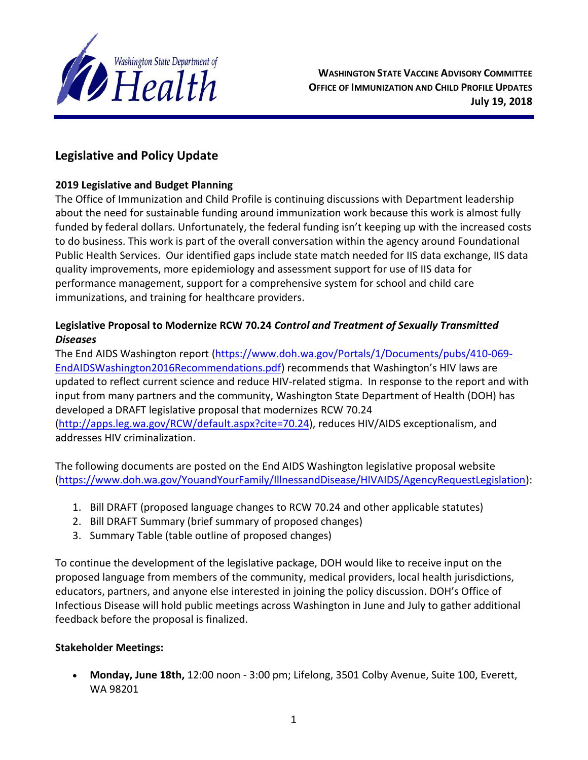

**WASHINGTON STATE VACCINE ADVISORY COMMITTEE OFFICE OF IMMUNIZATION AND CHILD PROFILE UPDATES July 19, 2018**

# **Legislative and Policy Update**

#### **2019 Legislative and Budget Planning**

The Office of Immunization and Child Profile is continuing discussions with Department leadership about the need for sustainable funding around immunization work because this work is almost fully funded by federal dollars. Unfortunately, the federal funding isn't keeping up with the increased costs to do business. This work is part of the overall conversation within the agency around Foundational Public Health Services. Our identified gaps include state match needed for IIS data exchange, IIS data quality improvements, more epidemiology and assessment support for use of IIS data for performance management, support for a comprehensive system for school and child care immunizations, and training for healthcare providers.

# **Legislative Proposal to Modernize RCW 70.24** *Control and Treatment of Sexually Transmitted Diseases*

The [End AIDS Washington report](http://links.govdelivery.com/track?type=click&enid=ZWFzPTEmbXNpZD0mYXVpZD0mbWFpbGluZ2lkPTIwMTgwNjE0LjkxMjAzOTQxJm1lc3NhZ2VpZD1NREItUFJELUJVTC0yMDE4MDYxNC45MTIwMzk0MSZkYXRhYmFzZWlkPTEwMDEmc2VyaWFsPTE3MTc0MDY4JmVtYWlsaWQ9bWljaGVsZS5yb2JlcnRzQGRvaC53YS5nb3YmdXNlcmlkPW1pY2hlbGUucm9iZXJ0c0Bkb2gud2EuZ292JnRhcmdldGlkPSZmbD0mZXh0cmE9TXVsdGl2YXJpYXRlSWQ9JiYm&&&100&&&https://www.doh.wa.gov/Portals/1/Documents/pubs/410-069-EndAIDSWashington2016Recommendations.pdf) [\(https://www.doh.wa.gov/Portals/1/Documents/pubs/410-069-](https://www.doh.wa.gov/Portals/1/Documents/pubs/410-069-EndAIDSWashington2016Recommendations.pdf) [EndAIDSWashington2016Recommendations.pdf\)](https://www.doh.wa.gov/Portals/1/Documents/pubs/410-069-EndAIDSWashington2016Recommendations.pdf) recommends that Washington's HIV laws are updated to reflect current science and reduce HIV-related stigma. In response to the report and with input from many partners and the community, Washington State Department of Health (DOH) has developed a DRAFT legislative proposal that modernizes [RCW 70.24](http://links.govdelivery.com/track?type=click&enid=ZWFzPTEmbXNpZD0mYXVpZD0mbWFpbGluZ2lkPTIwMTgwNjE0LjkxMjAzOTQxJm1lc3NhZ2VpZD1NREItUFJELUJVTC0yMDE4MDYxNC45MTIwMzk0MSZkYXRhYmFzZWlkPTEwMDEmc2VyaWFsPTE3MTc0MDY4JmVtYWlsaWQ9bWljaGVsZS5yb2JlcnRzQGRvaC53YS5nb3YmdXNlcmlkPW1pY2hlbGUucm9iZXJ0c0Bkb2gud2EuZ292JnRhcmdldGlkPSZmbD0mZXh0cmE9TXVsdGl2YXJpYXRlSWQ9JiYm&&&101&&&http://apps.leg.wa.gov/RCW/default.aspx?cite=70.24) [\(http://apps.leg.wa.gov/RCW/default.aspx?cite=70.24\)](http://apps.leg.wa.gov/RCW/default.aspx?cite=70.24), reduces HIV/AIDS exceptionalism, and addresses HIV criminalization.

The following documents are posted on the [End AIDS Washington legislative proposal website](http://links.govdelivery.com/track?type=click&enid=ZWFzPTEmbXNpZD0mYXVpZD0mbWFpbGluZ2lkPTIwMTgwNjE0LjkxMjAzOTQxJm1lc3NhZ2VpZD1NREItUFJELUJVTC0yMDE4MDYxNC45MTIwMzk0MSZkYXRhYmFzZWlkPTEwMDEmc2VyaWFsPTE3MTc0MDY4JmVtYWlsaWQ9bWljaGVsZS5yb2JlcnRzQGRvaC53YS5nb3YmdXNlcmlkPW1pY2hlbGUucm9iZXJ0c0Bkb2gud2EuZ292JnRhcmdldGlkPSZmbD0mZXh0cmE9TXVsdGl2YXJpYXRlSWQ9JiYm&&&102&&&https://www.doh.wa.gov/YouandYourFamily/IllnessandDisease/HIVAIDS/AgencyRequestLegislation) [\(https://www.doh.wa.gov/YouandYourFamily/IllnessandDisease/HIVAIDS/AgencyRequestLegislation\)](https://www.doh.wa.gov/YouandYourFamily/IllnessandDisease/HIVAIDS/AgencyRequestLegislation):

- 1. Bill DRAFT (proposed language changes to RCW 70.24 and other applicable statutes)
- 2. Bill DRAFT Summary (brief summary of proposed changes)
- 3. Summary Table (table outline of proposed changes)

To continue the development of the legislative package, DOH would like to receive input on the proposed language from members of the community, medical providers, local health jurisdictions, educators, partners, and anyone else interested in joining the policy discussion. DOH's Office of Infectious Disease will hold public meetings across Washington in June and July to gather additional feedback before the proposal is finalized.

#### **Stakeholder Meetings:**

 **Monday, June 18th,** 12:00 noon - 3:00 pm; Lifelong, 3501 Colby Avenue, Suite 100, Everett, WA 98201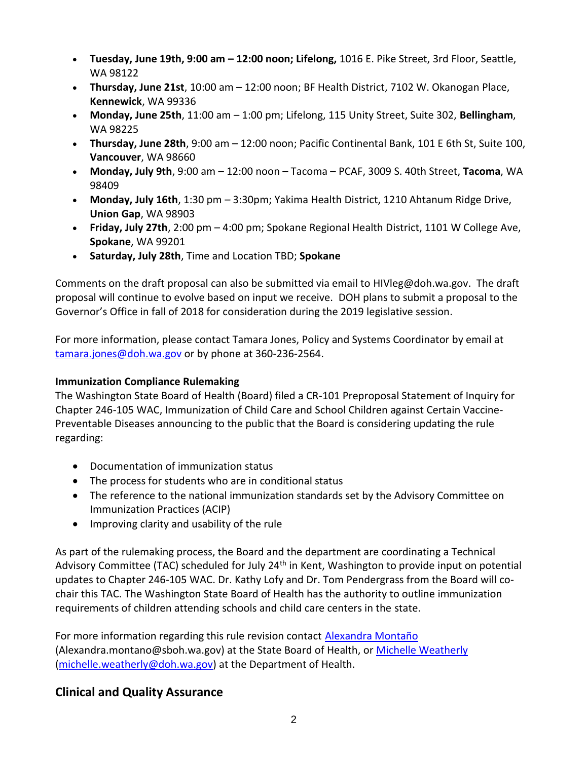- **Tuesday, June 19th, 9:00 am – 12:00 noon; Lifelong,** [1016 E. Pike Street, 3rd Floor, Seattle,](http://links.govdelivery.com/track?type=click&enid=ZWFzPTEmbXNpZD0mYXVpZD0mbWFpbGluZ2lkPTIwMTgwNjE0LjkxMjAzOTQxJm1lc3NhZ2VpZD1NREItUFJELUJVTC0yMDE4MDYxNC45MTIwMzk0MSZkYXRhYmFzZWlkPTEwMDEmc2VyaWFsPTE3MTc0MDY4JmVtYWlsaWQ9bWljaGVsZS5yb2JlcnRzQGRvaC53YS5nb3YmdXNlcmlkPW1pY2hlbGUucm9iZXJ0c0Bkb2gud2EuZ292JnRhcmdldGlkPSZmbD0mZXh0cmE9TXVsdGl2YXJpYXRlSWQ9JiYm&&&103&&&https://www.google.com/maps/place/1016+E+Pike+St,+Seattle,+WA+98122/@47.614348,-122.3208646,17z/data=!3m1!4b1!4m5!3m4!1s0x54906acc491e2fc3:0x7b8ef9c0dbc3dd23!8m2!3d47.614348!4d-122.3186706)  [WA 98122](http://links.govdelivery.com/track?type=click&enid=ZWFzPTEmbXNpZD0mYXVpZD0mbWFpbGluZ2lkPTIwMTgwNjE0LjkxMjAzOTQxJm1lc3NhZ2VpZD1NREItUFJELUJVTC0yMDE4MDYxNC45MTIwMzk0MSZkYXRhYmFzZWlkPTEwMDEmc2VyaWFsPTE3MTc0MDY4JmVtYWlsaWQ9bWljaGVsZS5yb2JlcnRzQGRvaC53YS5nb3YmdXNlcmlkPW1pY2hlbGUucm9iZXJ0c0Bkb2gud2EuZ292JnRhcmdldGlkPSZmbD0mZXh0cmE9TXVsdGl2YXJpYXRlSWQ9JiYm&&&103&&&https://www.google.com/maps/place/1016+E+Pike+St,+Seattle,+WA+98122/@47.614348,-122.3208646,17z/data=!3m1!4b1!4m5!3m4!1s0x54906acc491e2fc3:0x7b8ef9c0dbc3dd23!8m2!3d47.614348!4d-122.3186706)
- **Thursday, June 21st**, 10:00 am 12:00 noon; BF Health District, 7102 W. Okanogan Place, **Kennewick**, WA 99336
- **Monday, June 25th**, 11:00 am 1:00 pm; Lifelong, [115 Unity Street, Suite 302,](http://links.govdelivery.com/track?type=click&enid=ZWFzPTEmbXNpZD0mYXVpZD0mbWFpbGluZ2lkPTIwMTgwNjE0LjkxMjAzOTQxJm1lc3NhZ2VpZD1NREItUFJELUJVTC0yMDE4MDYxNC45MTIwMzk0MSZkYXRhYmFzZWlkPTEwMDEmc2VyaWFsPTE3MTc0MDY4JmVtYWlsaWQ9bWljaGVsZS5yb2JlcnRzQGRvaC53YS5nb3YmdXNlcmlkPW1pY2hlbGUucm9iZXJ0c0Bkb2gud2EuZ292JnRhcmdldGlkPSZmbD0mZXh0cmE9TXVsdGl2YXJpYXRlSWQ9JiYm&&&104&&&https://www.google.com/maps/place/115+Unity+St+%23302,+Bellingham,+WA+98225/@48.7524798,-122.4791953,17z/data=!3m1!4b1!4m5!3m4!1s0x5485a3bd6d82b201:0xfaf4d7074465fa45!8m2!3d48.7524798!4d-122.4770013) **Bellingham**, [WA 98225](http://links.govdelivery.com/track?type=click&enid=ZWFzPTEmbXNpZD0mYXVpZD0mbWFpbGluZ2lkPTIwMTgwNjE0LjkxMjAzOTQxJm1lc3NhZ2VpZD1NREItUFJELUJVTC0yMDE4MDYxNC45MTIwMzk0MSZkYXRhYmFzZWlkPTEwMDEmc2VyaWFsPTE3MTc0MDY4JmVtYWlsaWQ9bWljaGVsZS5yb2JlcnRzQGRvaC53YS5nb3YmdXNlcmlkPW1pY2hlbGUucm9iZXJ0c0Bkb2gud2EuZ292JnRhcmdldGlkPSZmbD0mZXh0cmE9TXVsdGl2YXJpYXRlSWQ9JiYm&&&104&&&https://www.google.com/maps/place/115+Unity+St+%23302,+Bellingham,+WA+98225/@48.7524798,-122.4791953,17z/data=!3m1!4b1!4m5!3m4!1s0x5485a3bd6d82b201:0xfaf4d7074465fa45!8m2!3d48.7524798!4d-122.4770013)
- **Thursday, June 28th**, 9:00 am 12:00 noon; Pacific Continental Bank, 101 E 6th St, Suite 100, **Vancouver**, WA 98660
- **Monday, July 9th**, 9:00 am 12:00 noon Tacoma PCAF, 3009 S. 40th Street, **Tacoma**, WA 98409
- **Monday, July 16th**, 1:30 pm 3:30pm; Yakima Health District, 1210 Ahtanum Ridge Drive, **Union Gap**, WA 98903
- **Friday, July 27th**, 2:00 pm 4:00 pm; Spokane Regional Health District, 1101 W College Ave, **Spokane**, WA 99201
- **Saturday, July 28th**, Time and Location TBD; **Spokane**

Comments on the draft proposal can also be submitted via email to [HIVleg@doh.wa.gov.](mailto:HIVleg@doh.wa.gov) The draft proposal will continue to evolve based on input we receive. DOH plans to submit a proposal to the Governor's Office in fall of 2018 for consideration during the 2019 legislative session.

For more information, please contact Tamara Jones, Policy and Systems Coordinator by email at [tamara.jones@doh.wa.gov](mailto:tamara.jones@doh.wa.gov) or by phone at 360-236-2564.

#### **Immunization Compliance Rulemaking**

The Washington State Board of Health (Board) filed a CR-101 Preproposal Statement of Inquiry for Chapter 246-105 WAC, Immunization of Child Care and School Children against Certain Vaccine-Preventable Diseases announcing to the public that the Board is considering updating the rule regarding:

- Documentation of immunization status
- The process for students who are in conditional status
- The reference to the national immunization standards set by the Advisory Committee on Immunization Practices (ACIP)
- Improving clarity and usability of the rule

As part of the rulemaking process, the Board and the department are coordinating a Technical Advisory Committee (TAC) scheduled for July 24<sup>th</sup> in Kent, Washington to provide input on potential updates to Chapter 246-105 WAC. Dr. Kathy Lofy and Dr. Tom Pendergrass from the Board will cochair this TAC. The Washington State Board of Health has the authority to outline immunization requirements of children attending schools and child care centers in the state.

For more information regarding this rule revision contact [Alexandra Montaño](mailto:alexandra.montano@sboh.wa.gov?subject=CR-101%20Alert%20-%20Rule%20Modification%20Chapter%20246-105%20WAC%20(Immunizations)) (Alexandra.montano@sboh.wa.gov) at the State Board of Health, or [Michelle Weatherly](mailto:michelle.weatherly@doh.wa.gov?subject=CR-101%20Alert%20-%20Rule%20Modification%20246-105%20WAC%20(Immunizations)) [\(michelle.weatherly@doh.wa.gov\)](mailto:michelle.weatherly@doh.wa.gov) at the Department of Health.

# **Clinical and Quality Assurance**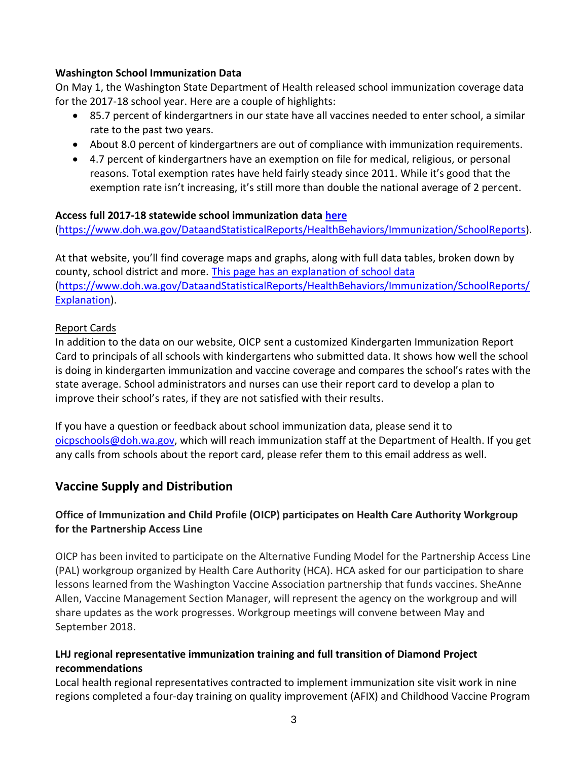#### **Washington School Immunization Data**

On May 1, the Washington State Department of Health released school immunization coverage data for the 2017-18 school year. Here are a couple of highlights:

- 85.7 percent of kindergartners in our state have all vaccines needed to enter school, a similar rate to the past two years.
- About 8.0 percent of kindergartners are out of compliance with immunization requirements.
- 4.7 percent of kindergartners have an exemption on file for medical, religious, or personal reasons. Total exemption rates have held fairly steady since 2011. While it's good that the exemption rate isn't increasing, it's still more than double the national average of 2 percent.

#### **Access full 2017-18 statewide school immunization data [here](http://www.doh.wa.gov/DataandStatisticalReports/HealthBehaviors/Immunization/SchoolReports)**

[\(https://www.doh.wa.gov/DataandStatisticalReports/HealthBehaviors/Immunization/SchoolReports\)](https://www.doh.wa.gov/DataandStatisticalReports/HealthBehaviors/Immunization/SchoolReports).

At that website, you'll find coverage maps and graphs, along with full data tables, broken down by county, school district and more. [This page has an explanation of school data](http://www.doh.wa.gov/DataandStatisticalReports/HealthBehaviors/Immunization/SchoolReports/Explanation) [\(https://www.doh.wa.gov/DataandStatisticalReports/HealthBehaviors/Immunization/SchoolReports/](https://www.doh.wa.gov/DataandStatisticalReports/HealthBehaviors/Immunization/SchoolReports/Explanation) [Explanation\)](https://www.doh.wa.gov/DataandStatisticalReports/HealthBehaviors/Immunization/SchoolReports/Explanation).

#### Report Cards

In addition to the data on our website, OICP sent a customized Kindergarten Immunization Report Card to principals of all schools with kindergartens who submitted data. It shows how well the school is doing in kindergarten immunization and vaccine coverage and compares the school's rates with the state average. School administrators and nurses can use their report card to develop a plan to improve their school's rates, if they are not satisfied with their results.

If you have a question or feedback about school immunization data, please send it to [oicpschools@doh.wa.gov,](mailto:oicpschools@doh.wa.gov) which will reach immunization staff at the Department of Health. If you get any calls from schools about the report card, please refer them to this email address as well.

# **Vaccine Supply and Distribution**

# **Office of Immunization and Child Profile (OICP) participates on Health Care Authority Workgroup for the Partnership Access Line**

OICP has been invited to participate on the Alternative Funding Model for the Partnership Access Line (PAL) workgroup organized by Health Care Authority (HCA). HCA asked for our participation to share lessons learned from the Washington Vaccine Association partnership that funds vaccines. SheAnne Allen, Vaccine Management Section Manager, will represent the agency on the workgroup and will share updates as the work progresses. Workgroup meetings will convene between May and September 2018.

#### **LHJ regional representative immunization training and full transition of Diamond Project recommendations**

Local health regional representatives contracted to implement immunization site visit work in nine regions completed a four-day training on quality improvement (AFIX) and Childhood Vaccine Program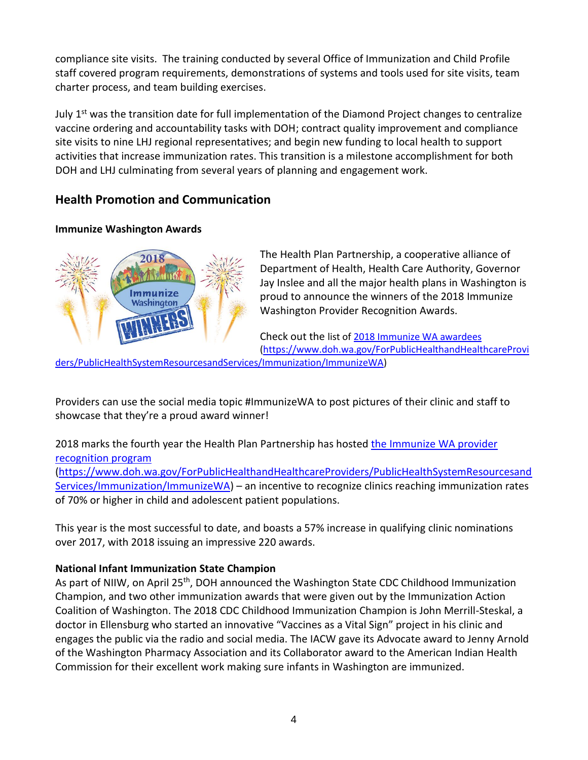compliance site visits. The training conducted by several Office of Immunization and Child Profile staff covered program requirements, demonstrations of systems and tools used for site visits, team charter process, and team building exercises.

July  $1<sup>st</sup>$  was the transition date for full implementation of the Diamond Project changes to centralize vaccine ordering and accountability tasks with DOH; contract quality improvement and compliance site visits to nine LHJ regional representatives; and begin new funding to local health to support activities that increase immunization rates. This transition is a milestone accomplishment for both DOH and LHJ culminating from several years of planning and engagement work.

# **Health Promotion and Communication**

### **Immunize Washington Awards**



The Health Plan Partnership, a cooperative alliance of Department of Health, Health Care Authority, Governor Jay Inslee and all the major health plans in Washington is proud to announce the winners of the 2018 Immunize Washington Provider Recognition Awards.

Check out the list of [2018 Immunize WA awardees](https://www.doh.wa.gov/Portals/1/Documents/Pubs/348-684-ImmunizeWA-ProviderRecognitionProgramAwardeeList2018.pdf)

[\(https://www.doh.wa.gov/ForPublicHealthandHealthcareProvi](https://www.doh.wa.gov/ForPublicHealthandHealthcareProviders/PublicHealthSystemResourcesandServices/Immunization/ImmunizeWA)

[ders/PublicHealthSystemResourcesandServices/Immunization/ImmunizeWA\)](https://www.doh.wa.gov/ForPublicHealthandHealthcareProviders/PublicHealthSystemResourcesandServices/Immunization/ImmunizeWA)

Providers can use the social media topic #ImmunizeWA to post pictures of their clinic and staff to showcase that they're a proud award winner!

2018 marks the fourth year the Health Plan Partnership has hosted [the Immunize WA provider](https://www.doh.wa.gov/ForPublicHealthandHealthcareProviders/PublicHealthSystemResourcesandServices/Immunization/ImmunizeWA)  [recognition program](https://www.doh.wa.gov/ForPublicHealthandHealthcareProviders/PublicHealthSystemResourcesandServices/Immunization/ImmunizeWA) [\(https://www.doh.wa.gov/ForPublicHealthandHealthcareProviders/PublicHealthSystemResourcesand](https://www.doh.wa.gov/ForPublicHealthandHealthcareProviders/PublicHealthSystemResourcesandServices/Immunization/ImmunizeWA) [Services/Immunization/ImmunizeWA\)](https://www.doh.wa.gov/ForPublicHealthandHealthcareProviders/PublicHealthSystemResourcesandServices/Immunization/ImmunizeWA) – an incentive to recognize clinics reaching immunization rates of 70% or higher in child and adolescent patient populations.

This year is the most successful to date, and boasts a 57% increase in qualifying clinic nominations over 2017, with 2018 issuing an impressive 220 awards.

# **National Infant Immunization State Champion**

As part of NIIW, on April 25<sup>th</sup>, DOH announced the Washington State CDC Childhood Immunization Champion, and two other immunization awards that were given out by the Immunization Action Coalition of Washington. The 2018 CDC Childhood Immunization Champion is John Merrill-Steskal, a doctor in Ellensburg who started an innovative "Vaccines as a Vital Sign" project in his clinic and engages the public via the radio and social media. The IACW gave its Advocate award to Jenny Arnold of the Washington Pharmacy Association and its Collaborator award to the American Indian Health Commission for their excellent work making sure infants in Washington are immunized.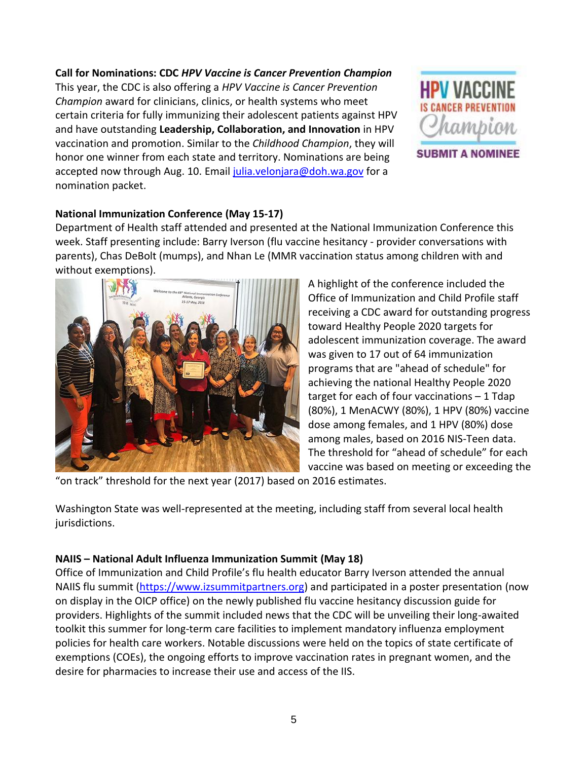# **Call for Nominations: CDC** *HPV Vaccine is Cancer Prevention Champion*

This year, the CDC is also offering a *HPV Vaccine is Cancer Prevention Champion* award for clinicians, clinics, or health systems who meet certain criteria for fully immunizing their adolescent patients against HPV and have outstanding **Leadership, Collaboration, and Innovation** in HPV vaccination and promotion. Similar to the *Childhood Champion*, they will honor one winner from each state and territory. Nominations are being accepted now through Aug. 10. Email [julia.velonjara@doh.wa.gov](mailto:julia.velonjara@doh.wa.gov) for a nomination packet.



**SUBMIT A NOMINEE** 

# **National Immunization Conference (May 15-17)**

Department of Health staff attended and presented at the National Immunization Conference this week. Staff presenting include: Barry Iverson (flu vaccine hesitancy - provider conversations with parents), Chas DeBolt (mumps), and Nhan Le (MMR vaccination status among children with and without exemptions).



A highlight of the conference included the Office of Immunization and Child Profile staff receiving a CDC award for outstanding progress toward Healthy People 2020 targets for adolescent immunization coverage. The award was given to 17 out of 64 immunization programs that are "ahead of schedule" for achieving the national Healthy People 2020 target for each of four vaccinations – 1 Tdap (80%), 1 MenACWY (80%), 1 HPV (80%) vaccine dose among females, and 1 HPV (80%) dose among males, based on 2016 NIS-Teen data. The threshold for "ahead of schedule" for each vaccine was based on meeting or exceeding the

"on track" threshold for the next year (2017) based on 2016 estimates.

Washington State was well-represented at the meeting, including staff from several local health jurisdictions.

#### **NAIIS – National Adult Influenza Immunization Summit (May 18)**

Office of Immunization and Child Profile's flu health educator Barry Iverson attended the annual NAIIS flu summit [\(https://www.izsummitpartners.org\)](https://www.izsummitpartners.org/) and participated in a poster presentation (now on display in the OICP office) on the newly published flu vaccine hesitancy discussion guide for providers. Highlights of the summit included news that the CDC will be unveiling their long-awaited toolkit this summer for long-term care facilities to implement mandatory influenza employment policies for health care workers. Notable discussions were held on the topics of state certificate of exemptions (COEs), the ongoing efforts to improve vaccination rates in pregnant women, and the desire for pharmacies to increase their use and access of the IIS.